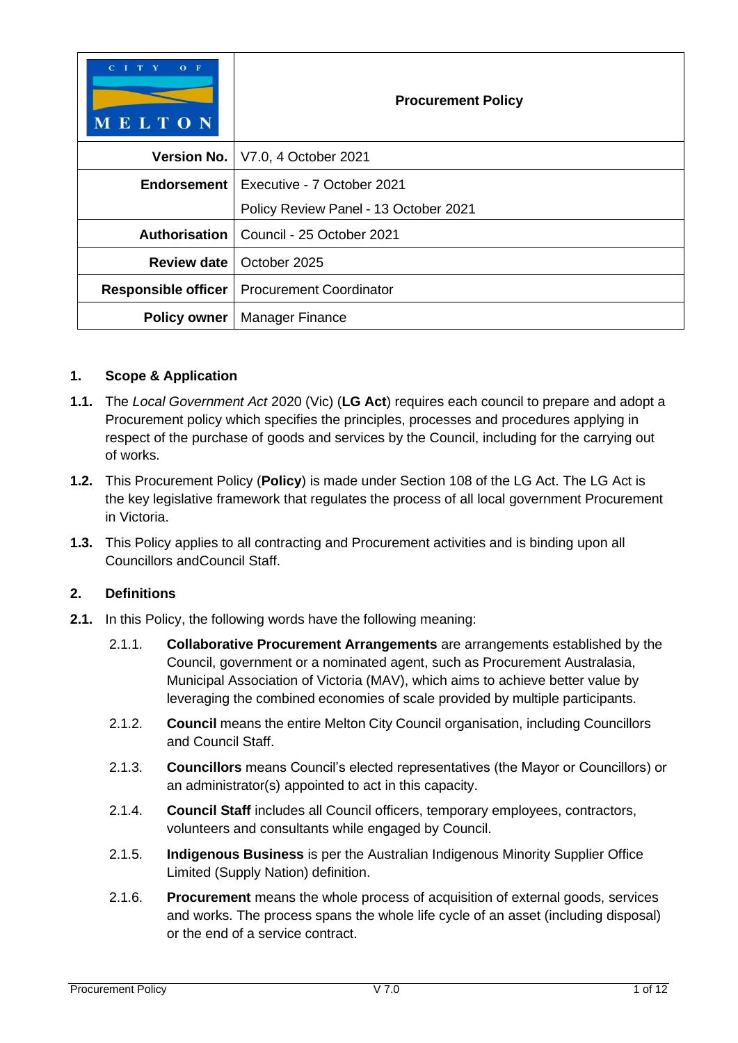| $O$ F<br>T<br>$\mathbf{v}$<br>C <sub>1</sub><br>MELTON | <b>Procurement Policy</b>             |  |
|--------------------------------------------------------|---------------------------------------|--|
|                                                        | Version No.   V7.0, 4 October 2021    |  |
| Endorsement                                            | Executive - 7 October 2021            |  |
|                                                        | Policy Review Panel - 13 October 2021 |  |
| Authorisation                                          | Council - 25 October 2021             |  |
| <b>Review date</b>                                     | October 2025                          |  |
| Responsible officer                                    | <b>Procurement Coordinator</b>        |  |
| <b>Policy owner</b>                                    | <b>Manager Finance</b>                |  |

## **1. Scope & Application**

- **1.1.** The *Local Government Act* 2020 (Vic) (**LG Act**) requires each council to prepare and adopt a Procurement policy which specifies the principles, processes and procedures applying in respect of the purchase of goods and services by the Council, including for the carrying out of works.
- **1.2.** This Procurement Policy (**Policy**) is made under Section 108 of the LG Act. The LG Act is the key legislative framework that regulates the process of all local government Procurement in Victoria.
- **1.3.** This Policy applies to all contracting and Procurement activities and is binding upon all Councillors andCouncil Staff.

## **2. Definitions**

- **2.1.** In this Policy, the following words have the following meaning:
	- 2.1.1. **Collaborative Procurement Arrangements** are arrangements established by the Council, government or a nominated agent, such as Procurement Australasia, Municipal Association of Victoria (MAV), which aims to achieve better value by leveraging the combined economies of scale provided by multiple participants.
	- 2.1.2. **Council** means the entire Melton City Council organisation, including Councillors and Council Staff.
	- 2.1.3. **Councillors** means Council's elected representatives (the Mayor or Councillors) or an administrator(s) appointed to act in this capacity.
	- 2.1.4. **Council Staff** includes all Council officers, temporary employees, contractors, volunteers and consultants while engaged by Council.
	- 2.1.5. **Indigenous Business** is per the Australian Indigenous Minority Supplier Office Limited (Supply Nation) definition.
	- 2.1.6. **Procurement** means the whole process of acquisition of external goods, services and works. The process spans the whole life cycle of an asset (including disposal) or the end of a service contract.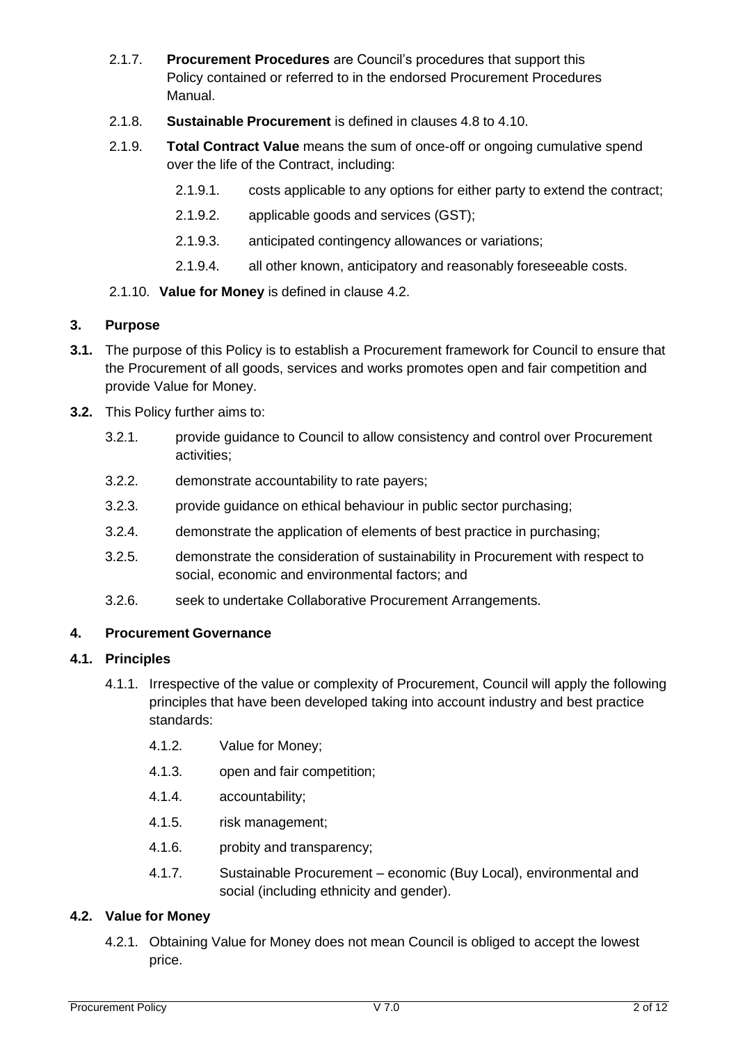- 2.1.7. **Procurement Procedures** are Council's procedures that support this Policy contained or referred to in the endorsed Procurement Procedures Manual.
- 2.1.8. **Sustainable Procurement** is defined in clauses [4.8](#page-3-0) to [4.10.](#page-4-0)
- 2.1.9. **Total Contract Value** means the sum of once-off or ongoing cumulative spend over the life of the Contract, including:
	- 2.1.9.1. costs applicable to any options for either party to extend the contract;
	- 2.1.9.2. applicable goods and services (GST);
	- 2.1.9.3. anticipated contingency allowances or variations;
	- 2.1.9.4. all other known, anticipatory and reasonably foreseeable costs.
- 2.1.10. **Value for Money** is defined in clause [4.2.](#page-1-0)

#### **3. Purpose**

- **3.1.** The purpose of this Policy is to establish a Procurement framework for Council to ensure that the Procurement of all goods, services and works promotes open and fair competition and provide Value for Money.
- **3.2.** This Policy further aims to:
	- 3.2.1. provide guidance to Council to allow consistency and control over Procurement activities;
	- 3.2.2. demonstrate accountability to rate payers;
	- 3.2.3. provide guidance on ethical behaviour in public sector purchasing;
	- 3.2.4. demonstrate the application of elements of best practice in purchasing;
	- 3.2.5. demonstrate the consideration of sustainability in Procurement with respect to social, economic and environmental factors; and
	- 3.2.6. seek to undertake Collaborative Procurement Arrangements.

### **4. Procurement Governance**

### **4.1. Principles**

- 4.1.1. Irrespective of the value or complexity of Procurement, Council will apply the following principles that have been developed taking into account industry and best practice standards:
	- 4.1.2. Value for Money;
	- 4.1.3. open and fair competition;
	- 4.1.4. accountability;
	- 4.1.5. risk management;
	- 4.1.6. probity and transparency;
	- 4.1.7. Sustainable Procurement economic (Buy Local), environmental and social (including ethnicity and gender).

## <span id="page-1-0"></span>**4.2. Value for Money**

4.2.1. Obtaining Value for Money does not mean Council is obliged to accept the lowest price.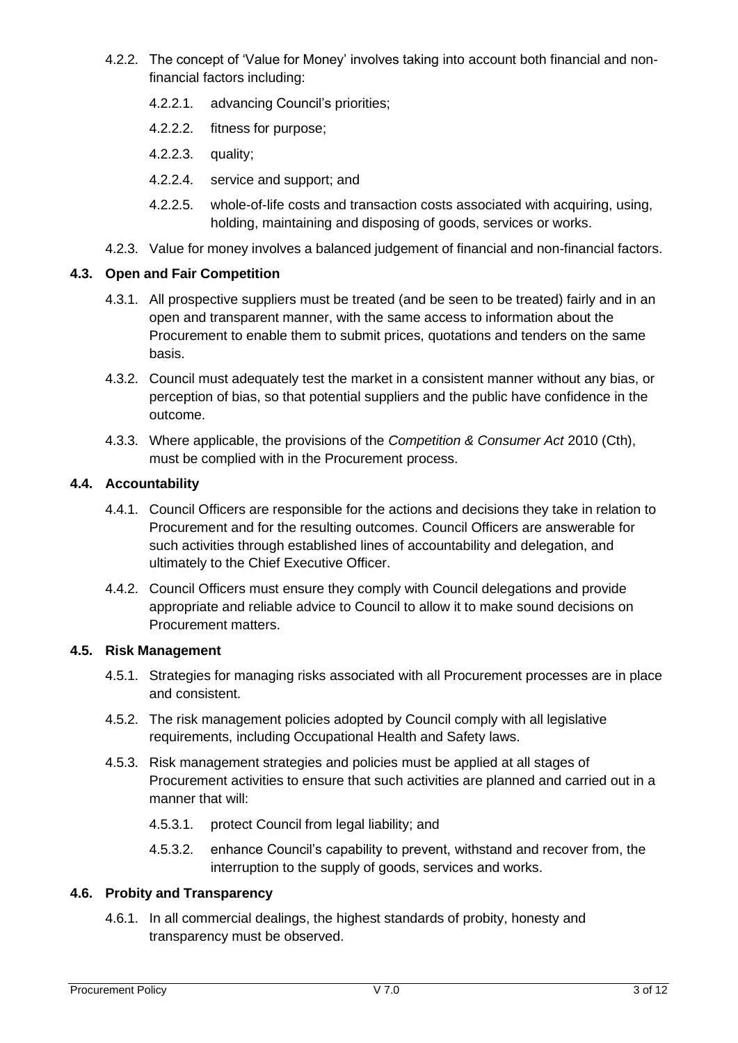- 4.2.2. The concept of 'Value for Money' involves taking into account both financial and nonfinancial factors including:
	- 4.2.2.1. advancing Council's priorities;
	- 4.2.2.2. fitness for purpose;
	- 4.2.2.3. quality;
	- 4.2.2.4. service and support; and
	- 4.2.2.5. whole-of-life costs and transaction costs associated with acquiring, using, holding, maintaining and disposing of goods, services or works.
- 4.2.3. Value for money involves a balanced judgement of financial and non-financial factors.

## **4.3. Open and Fair Competition**

- 4.3.1. All prospective suppliers must be treated (and be seen to be treated) fairly and in an open and transparent manner, with the same access to information about the Procurement to enable them to submit prices, quotations and tenders on the same basis.
- 4.3.2. Council must adequately test the market in a consistent manner without any bias, or perception of bias, so that potential suppliers and the public have confidence in the outcome.
- 4.3.3. Where applicable, the provisions of the *Competition & Consumer Act* 2010 (Cth), must be complied with in the Procurement process.

# **4.4. Accountability**

- 4.4.1. Council Officers are responsible for the actions and decisions they take in relation to Procurement and for the resulting outcomes. Council Officers are answerable for such activities through established lines of accountability and delegation, and ultimately to the Chief Executive Officer.
- 4.4.2. Council Officers must ensure they comply with Council delegations and provide appropriate and reliable advice to Council to allow it to make sound decisions on Procurement matters.

#### **4.5. Risk Management**

- 4.5.1. Strategies for managing risks associated with all Procurement processes are in place and consistent.
- 4.5.2. The risk management policies adopted by Council comply with all legislative requirements, including Occupational Health and Safety laws.
- 4.5.3. Risk management strategies and policies must be applied at all stages of Procurement activities to ensure that such activities are planned and carried out in a manner that will:
	- 4.5.3.1. protect Council from legal liability; and
	- 4.5.3.2. enhance Council's capability to prevent, withstand and recover from, the interruption to the supply of goods, services and works.

#### **4.6. Probity and Transparency**

4.6.1. In all commercial dealings, the highest standards of probity, honesty and transparency must be observed.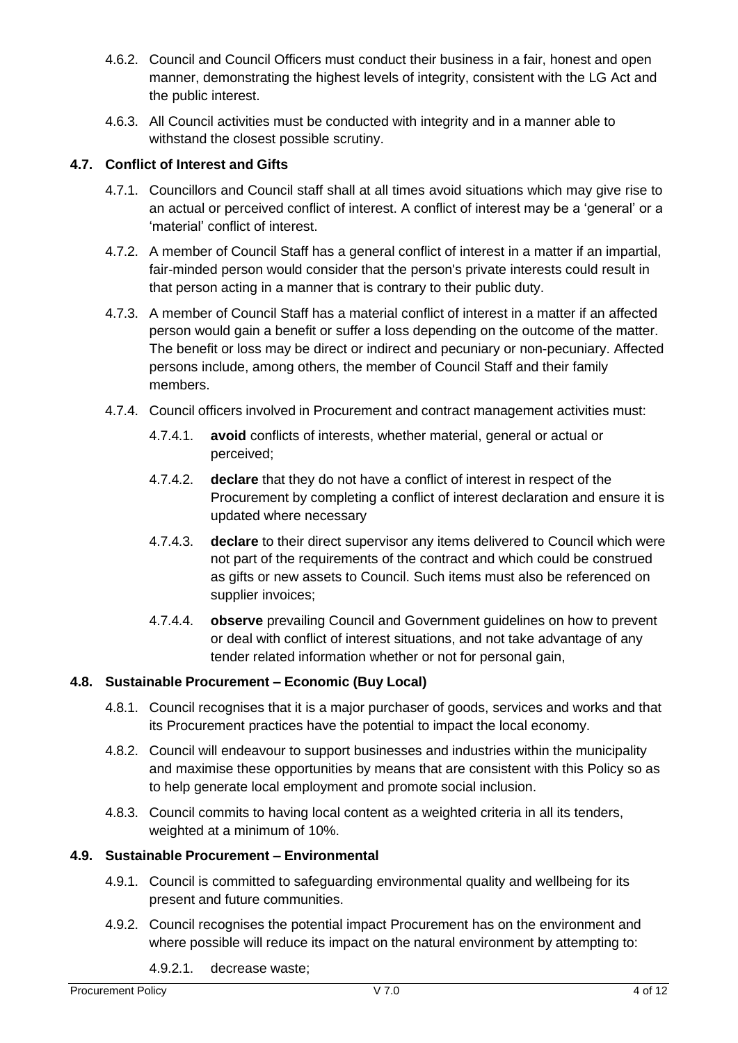- 4.6.2. Council and Council Officers must conduct their business in a fair, honest and open manner, demonstrating the highest levels of integrity, consistent with the LG Act and the public interest.
- 4.6.3. All Council activities must be conducted with integrity and in a manner able to withstand the closest possible scrutiny.

## **4.7. Conflict of Interest and Gifts**

- 4.7.1. Councillors and Council staff shall at all times avoid situations which may give rise to an actual or perceived conflict of interest. A conflict of interest may be a 'general' or a 'material' conflict of interest.
- 4.7.2. A member of Council Staff has a general conflict of interest in a matter if an impartial, fair-minded person would consider that the person's private interests could result in that person acting in a manner that is contrary to their public duty.
- 4.7.3. A member of Council Staff has a material conflict of interest in a matter if an affected person would gain a benefit or suffer a loss depending on the outcome of the matter. The benefit or loss may be direct or indirect and pecuniary or non-pecuniary. Affected persons include, among others, the member of Council Staff and their family members.
- 4.7.4. Council officers involved in Procurement and contract management activities must:
	- 4.7.4.1. **avoid** conflicts of interests, whether material, general or actual or perceived;
	- 4.7.4.2. **declare** that they do not have a conflict of interest in respect of the Procurement by completing a conflict of interest declaration and ensure it is updated where necessary
	- 4.7.4.3. **declare** to their direct supervisor any items delivered to Council which were not part of the requirements of the contract and which could be construed as gifts or new assets to Council. Such items must also be referenced on supplier invoices;
	- 4.7.4.4. **observe** prevailing Council and Government guidelines on how to prevent or deal with conflict of interest situations, and not take advantage of any tender related information whether or not for personal gain,

## <span id="page-3-0"></span>**4.8. Sustainable Procurement – Economic (Buy Local)**

- 4.8.1. Council recognises that it is a major purchaser of goods, services and works and that its Procurement practices have the potential to impact the local economy.
- 4.8.2. Council will endeavour to support businesses and industries within the municipality and maximise these opportunities by means that are consistent with this Policy so as to help generate local employment and promote social inclusion.
- 4.8.3. Council commits to having local content as a weighted criteria in all its tenders, weighted at a minimum of 10%.

## **4.9. Sustainable Procurement – Environmental**

- 4.9.1. Council is committed to safeguarding environmental quality and wellbeing for its present and future communities.
- 4.9.2. Council recognises the potential impact Procurement has on the environment and where possible will reduce its impact on the natural environment by attempting to:
	- 4.9.2.1. decrease waste;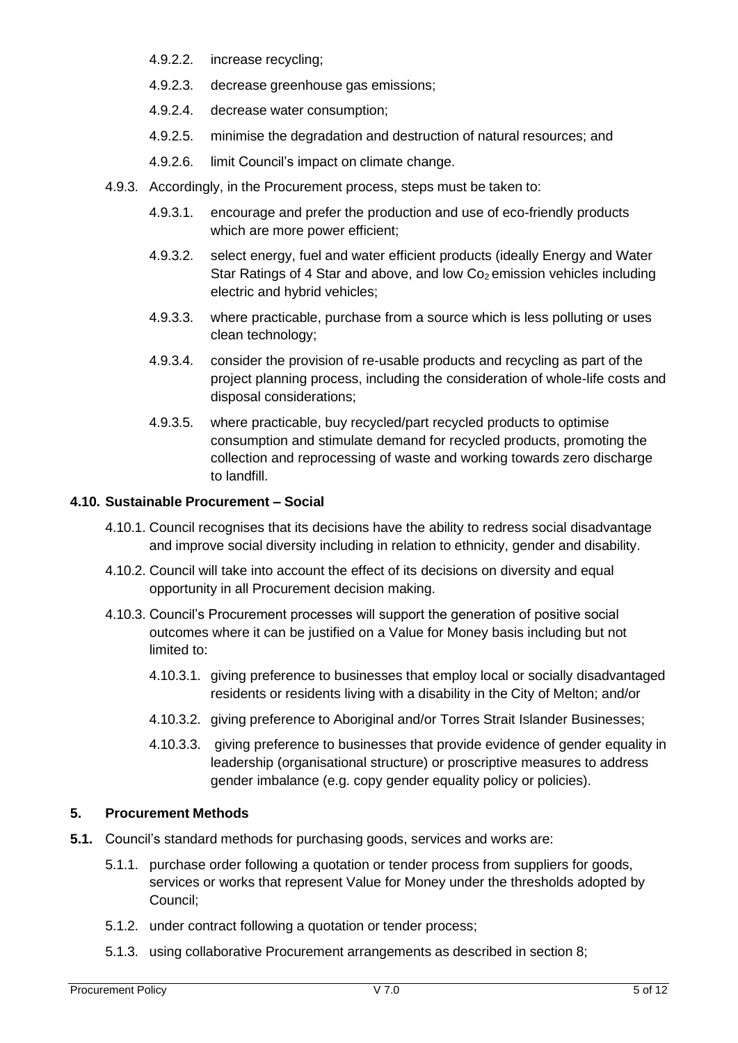- 4.9.2.2. increase recycling;
- 4.9.2.3. decrease greenhouse gas emissions;
- 4.9.2.4. decrease water consumption;
- 4.9.2.5. minimise the degradation and destruction of natural resources; and
- 4.9.2.6. limit Council's impact on climate change.
- 4.9.3. Accordingly, in the Procurement process, steps must be taken to:
	- 4.9.3.1. encourage and prefer the production and use of eco-friendly products which are more power efficient;
	- 4.9.3.2. select energy, fuel and water efficient products (ideally Energy and Water Star Ratings of 4 Star and above, and low  $Co<sub>2</sub>$  emission vehicles including electric and hybrid vehicles;
	- 4.9.3.3. where practicable, purchase from a source which is less polluting or uses clean technology;
	- 4.9.3.4. consider the provision of re-usable products and recycling as part of the project planning process, including the consideration of whole-life costs and disposal considerations;
	- 4.9.3.5. where practicable, buy recycled/part recycled products to optimise consumption and stimulate demand for recycled products, promoting the collection and reprocessing of waste and working towards zero discharge to landfill.

### <span id="page-4-0"></span>**4.10. Sustainable Procurement – Social**

- 4.10.1. Council recognises that its decisions have the ability to redress social disadvantage and improve social diversity including in relation to ethnicity, gender and disability.
- 4.10.2. Council will take into account the effect of its decisions on diversity and equal opportunity in all Procurement decision making.
- 4.10.3. Council's Procurement processes will support the generation of positive social outcomes where it can be justified on a Value for Money basis including but not limited to:
	- 4.10.3.1. giving preference to businesses that employ local or socially disadvantaged residents or residents living with a disability in the City of Melton; and/or
	- 4.10.3.2. giving preference to Aboriginal and/or Torres Strait Islander Businesses;
	- 4.10.3.3. giving preference to businesses that provide evidence of gender equality in leadership (organisational structure) or proscriptive measures to address gender imbalance (e.g. copy gender equality policy or policies).

## **5. Procurement Methods**

- **5.1.** Council's standard methods for purchasing goods, services and works are:
	- 5.1.1. purchase order following a quotation or tender process from suppliers for goods, services or works that represent Value for Money under the thresholds adopted by Council;
	- 5.1.2. under contract following a quotation or tender process;
	- 5.1.3. using collaborative Procurement arrangements as described in section [8;](#page-8-0)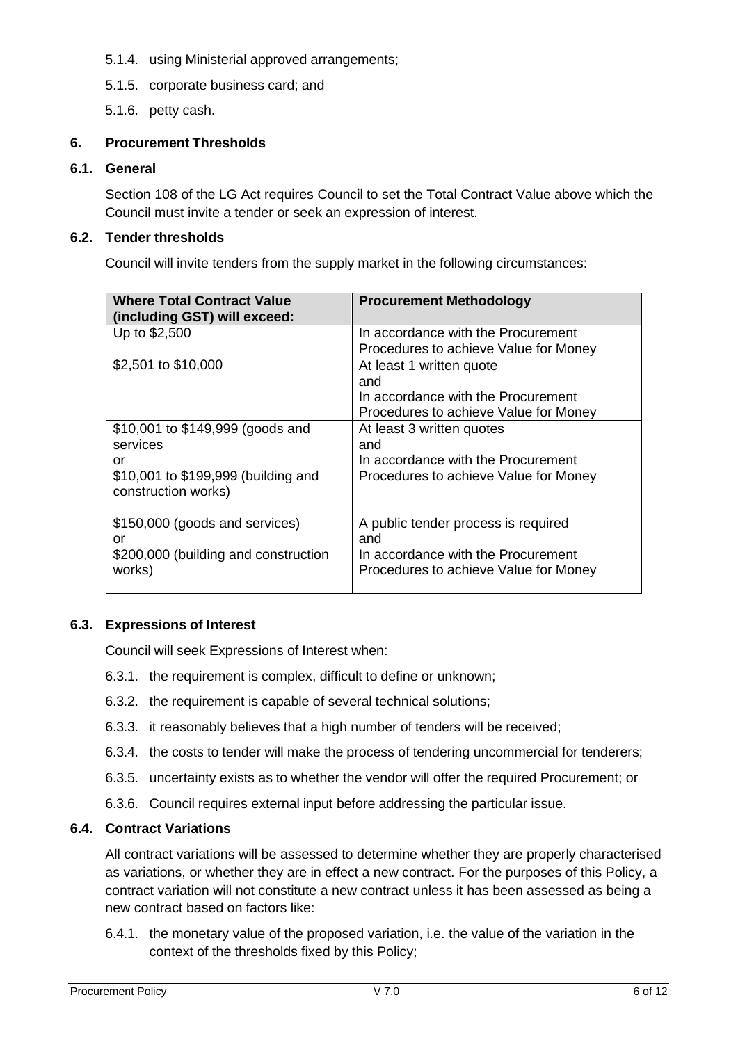- 5.1.4. using Ministerial approved arrangements;
- 5.1.5. corporate business card; and
- 5.1.6. petty cash.

# **6. Procurement Thresholds**

### **6.1. General**

Section 108 of the LG Act requires Council to set the Total Contract Value above which the Council must invite a tender or seek an expression of interest.

### **6.2. Tender thresholds**

Council will invite tenders from the supply market in the following circumstances:

| <b>Where Total Contract Value</b><br>(including GST) will exceed:                                                | <b>Procurement Methodology</b>                                                                                                                          |
|------------------------------------------------------------------------------------------------------------------|---------------------------------------------------------------------------------------------------------------------------------------------------------|
| Up to \$2,500                                                                                                    | In accordance with the Procurement                                                                                                                      |
| \$2,501 to \$10,000                                                                                              | Procedures to achieve Value for Money<br>At least 1 written quote<br>and<br>In accordance with the Procurement<br>Procedures to achieve Value for Money |
| \$10,001 to \$149,999 (goods and<br>services<br>or<br>\$10,001 to \$199,999 (building and<br>construction works) | At least 3 written quotes<br>and<br>In accordance with the Procurement<br>Procedures to achieve Value for Money                                         |
| \$150,000 (goods and services)<br>or<br>\$200,000 (building and construction<br>works)                           | A public tender process is required<br>and<br>In accordance with the Procurement<br>Procedures to achieve Value for Money                               |

## **6.3. Expressions of Interest**

Council will seek Expressions of Interest when:

- 6.3.1. the requirement is complex, difficult to define or unknown;
- 6.3.2. the requirement is capable of several technical solutions;
- 6.3.3. it reasonably believes that a high number of tenders will be received;
- 6.3.4. the costs to tender will make the process of tendering uncommercial for tenderers;
- 6.3.5. uncertainty exists as to whether the vendor will offer the required Procurement; or
- 6.3.6. Council requires external input before addressing the particular issue.

## **6.4. Contract Variations**

All contract variations will be assessed to determine whether they are properly characterised as variations, or whether they are in effect a new contract. For the purposes of this Policy, a contract variation will not constitute a new contract unless it has been assessed as being a new contract based on factors like:

6.4.1. the monetary value of the proposed variation, i.e. the value of the variation in the context of the thresholds fixed by this Policy;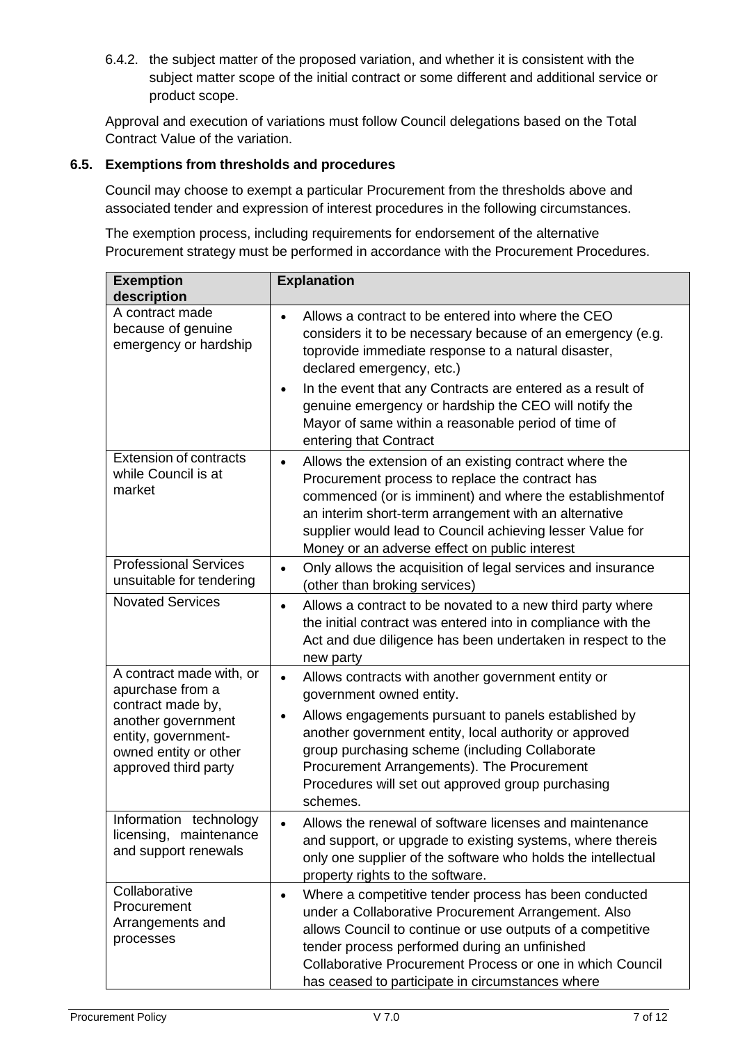6.4.2. the subject matter of the proposed variation, and whether it is consistent with the subject matter scope of the initial contract or some different and additional service or product scope.

Approval and execution of variations must follow Council delegations based on the Total Contract Value of the variation.

### **6.5. Exemptions from thresholds and procedures**

Council may choose to exempt a particular Procurement from the thresholds above and associated tender and expression of interest procedures in the following circumstances.

The exemption process, including requirements for endorsement of the alternative Procurement strategy must be performed in accordance with the Procurement Procedures.

| <b>Exemption</b><br>description                                                                                                                                 | <b>Explanation</b>                                                                                                                                                                                                                                                                                                                                        |
|-----------------------------------------------------------------------------------------------------------------------------------------------------------------|-----------------------------------------------------------------------------------------------------------------------------------------------------------------------------------------------------------------------------------------------------------------------------------------------------------------------------------------------------------|
| A contract made<br>because of genuine<br>emergency or hardship                                                                                                  | Allows a contract to be entered into where the CEO<br>$\bullet$<br>considers it to be necessary because of an emergency (e.g.<br>toprovide immediate response to a natural disaster,<br>declared emergency, etc.)                                                                                                                                         |
|                                                                                                                                                                 | In the event that any Contracts are entered as a result of<br>$\bullet$<br>genuine emergency or hardship the CEO will notify the<br>Mayor of same within a reasonable period of time of<br>entering that Contract                                                                                                                                         |
| <b>Extension of contracts</b><br>while Council is at<br>market                                                                                                  | Allows the extension of an existing contract where the<br>$\bullet$<br>Procurement process to replace the contract has<br>commenced (or is imminent) and where the establishmentof<br>an interim short-term arrangement with an alternative<br>supplier would lead to Council achieving lesser Value for<br>Money or an adverse effect on public interest |
| <b>Professional Services</b><br>unsuitable for tendering                                                                                                        | Only allows the acquisition of legal services and insurance<br>$\bullet$<br>(other than broking services)                                                                                                                                                                                                                                                 |
| <b>Novated Services</b>                                                                                                                                         | Allows a contract to be novated to a new third party where<br>$\bullet$<br>the initial contract was entered into in compliance with the<br>Act and due diligence has been undertaken in respect to the<br>new party                                                                                                                                       |
| A contract made with, or<br>apurchase from a<br>contract made by,<br>another government<br>entity, government-<br>owned entity or other<br>approved third party | Allows contracts with another government entity or<br>$\bullet$<br>government owned entity.                                                                                                                                                                                                                                                               |
|                                                                                                                                                                 | Allows engagements pursuant to panels established by<br>$\bullet$<br>another government entity, local authority or approved<br>group purchasing scheme (including Collaborate<br>Procurement Arrangements). The Procurement<br>Procedures will set out approved group purchasing<br>schemes.                                                              |
| Information technology<br>licensing, maintenance<br>and support renewals                                                                                        | Allows the renewal of software licenses and maintenance<br>and support, or upgrade to existing systems, where thereis<br>only one supplier of the software who holds the intellectual<br>property rights to the software.                                                                                                                                 |
| Collaborative<br>Procurement<br>Arrangements and<br>processes                                                                                                   | Where a competitive tender process has been conducted<br>$\bullet$<br>under a Collaborative Procurement Arrangement. Also<br>allows Council to continue or use outputs of a competitive<br>tender process performed during an unfinished<br>Collaborative Procurement Process or one in which Council<br>has ceased to participate in circumstances where |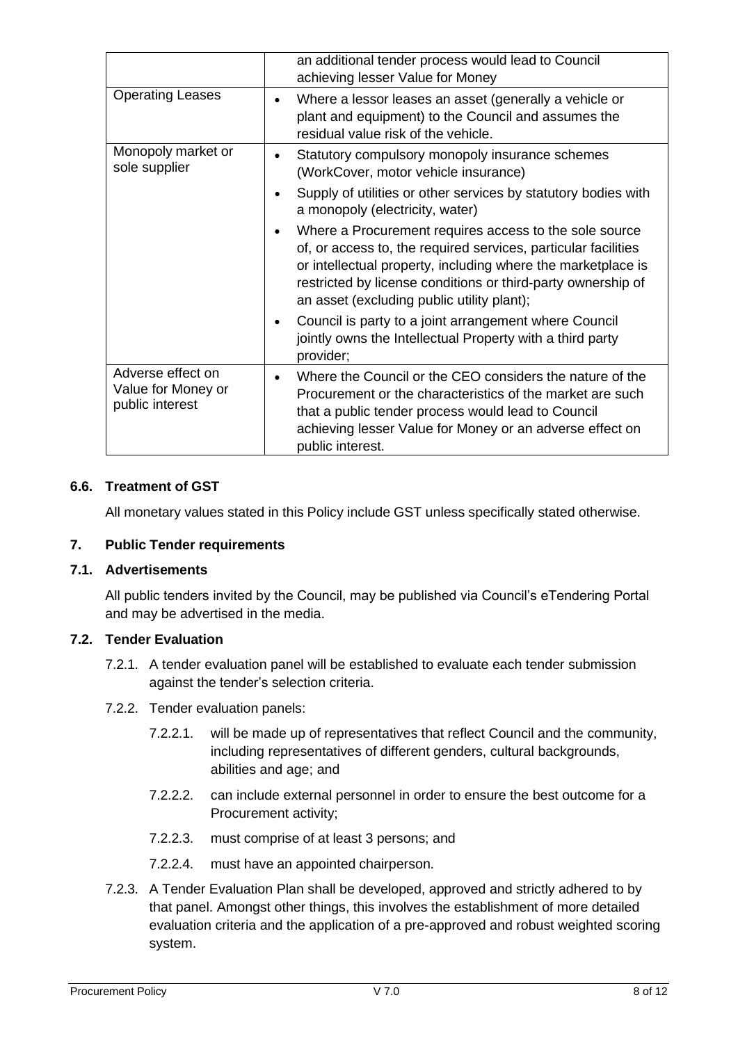|                                                            | an additional tender process would lead to Council<br>achieving lesser Value for Money                                                                                                                                                                                                                 |
|------------------------------------------------------------|--------------------------------------------------------------------------------------------------------------------------------------------------------------------------------------------------------------------------------------------------------------------------------------------------------|
| <b>Operating Leases</b>                                    | Where a lessor leases an asset (generally a vehicle or<br>plant and equipment) to the Council and assumes the<br>residual value risk of the vehicle.                                                                                                                                                   |
| Monopoly market or<br>sole supplier                        | Statutory compulsory monopoly insurance schemes<br>(WorkCover, motor vehicle insurance)                                                                                                                                                                                                                |
|                                                            | Supply of utilities or other services by statutory bodies with<br>a monopoly (electricity, water)                                                                                                                                                                                                      |
|                                                            | Where a Procurement requires access to the sole source<br>of, or access to, the required services, particular facilities<br>or intellectual property, including where the marketplace is<br>restricted by license conditions or third-party ownership of<br>an asset (excluding public utility plant); |
|                                                            | Council is party to a joint arrangement where Council<br>jointly owns the Intellectual Property with a third party<br>provider;                                                                                                                                                                        |
| Adverse effect on<br>Value for Money or<br>public interest | Where the Council or the CEO considers the nature of the<br>Procurement or the characteristics of the market are such<br>that a public tender process would lead to Council<br>achieving lesser Value for Money or an adverse effect on<br>public interest.                                            |

### **6.6. Treatment of GST**

All monetary values stated in this Policy include GST unless specifically stated otherwise.

#### **7. Public Tender requirements**

#### **7.1. Advertisements**

All public tenders invited by the Council, may be published via Council's eTendering Portal and may be advertised in the media.

#### **7.2. Tender Evaluation**

- 7.2.1. A tender evaluation panel will be established to evaluate each tender submission against the tender's selection criteria.
- 7.2.2. Tender evaluation panels:
	- 7.2.2.1. will be made up of representatives that reflect Council and the community, including representatives of different genders, cultural backgrounds, abilities and age; and
	- 7.2.2.2. can include external personnel in order to ensure the best outcome for a Procurement activity;
	- 7.2.2.3. must comprise of at least 3 persons; and
	- 7.2.2.4. must have an appointed chairperson.
- 7.2.3. A Tender Evaluation Plan shall be developed, approved and strictly adhered to by that panel. Amongst other things, this involves the establishment of more detailed evaluation criteria and the application of a pre-approved and robust weighted scoring system.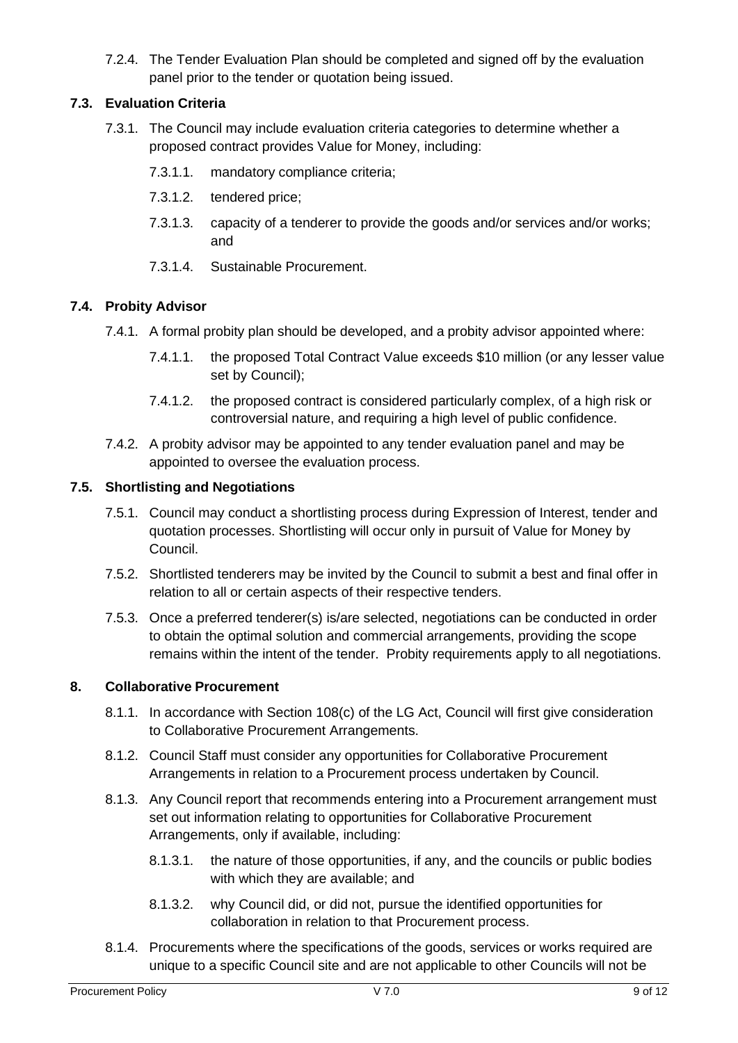7.2.4. The Tender Evaluation Plan should be completed and signed off by the evaluation panel prior to the tender or quotation being issued.

# **7.3. Evaluation Criteria**

- 7.3.1. The Council may include evaluation criteria categories to determine whether a proposed contract provides Value for Money, including:
	- 7.3.1.1. mandatory compliance criteria;
	- 7.3.1.2. tendered price;
	- 7.3.1.3. capacity of a tenderer to provide the goods and/or services and/or works; and
	- 7.3.1.4. Sustainable Procurement.

## **7.4. Probity Advisor**

- 7.4.1. A formal probity plan should be developed, and a probity advisor appointed where:
	- 7.4.1.1. the proposed Total Contract Value exceeds \$10 million (or any lesser value set by Council);
	- 7.4.1.2. the proposed contract is considered particularly complex, of a high risk or controversial nature, and requiring a high level of public confidence.
- 7.4.2. A probity advisor may be appointed to any tender evaluation panel and may be appointed to oversee the evaluation process.

## **7.5. Shortlisting and Negotiations**

- 7.5.1. Council may conduct a shortlisting process during Expression of Interest, tender and quotation processes. Shortlisting will occur only in pursuit of Value for Money by Council.
- 7.5.2. Shortlisted tenderers may be invited by the Council to submit a best and final offer in relation to all or certain aspects of their respective tenders.
- 7.5.3. Once a preferred tenderer(s) is/are selected, negotiations can be conducted in order to obtain the optimal solution and commercial arrangements, providing the scope remains within the intent of the tender. Probity requirements apply to all negotiations.

## <span id="page-8-0"></span>**8. Collaborative Procurement**

- 8.1.1. In accordance with Section 108(c) of the LG Act, Council will first give consideration to Collaborative Procurement Arrangements.
- 8.1.2. Council Staff must consider any opportunities for Collaborative Procurement Arrangements in relation to a Procurement process undertaken by Council.
- 8.1.3. Any Council report that recommends entering into a Procurement arrangement must set out information relating to opportunities for Collaborative Procurement Arrangements, only if available, including:
	- 8.1.3.1. the nature of those opportunities, if any, and the councils or public bodies with which they are available; and
	- 8.1.3.2. why Council did, or did not, pursue the identified opportunities for collaboration in relation to that Procurement process.
- 8.1.4. Procurements where the specifications of the goods, services or works required are unique to a specific Council site and are not applicable to other Councils will not be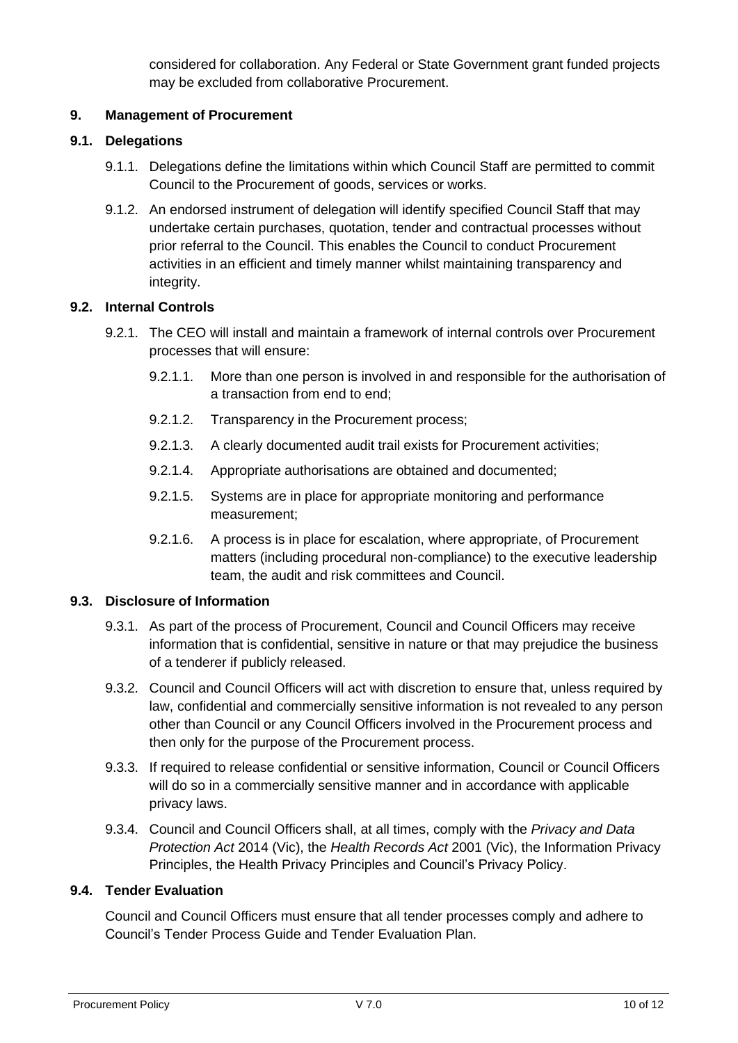considered for collaboration. Any Federal or State Government grant funded projects may be excluded from collaborative Procurement.

# **9. Management of Procurement**

## **9.1. Delegations**

- 9.1.1. Delegations define the limitations within which Council Staff are permitted to commit Council to the Procurement of goods, services or works.
- 9.1.2. An endorsed instrument of delegation will identify specified Council Staff that may undertake certain purchases, quotation, tender and contractual processes without prior referral to the Council. This enables the Council to conduct Procurement activities in an efficient and timely manner whilst maintaining transparency and integrity.

# **9.2. Internal Controls**

- 9.2.1. The CEO will install and maintain a framework of internal controls over Procurement processes that will ensure:
	- 9.2.1.1. More than one person is involved in and responsible for the authorisation of a transaction from end to end;
	- 9.2.1.2. Transparency in the Procurement process;
	- 9.2.1.3. A clearly documented audit trail exists for Procurement activities;
	- 9.2.1.4. Appropriate authorisations are obtained and documented;
	- 9.2.1.5. Systems are in place for appropriate monitoring and performance measurement;
	- 9.2.1.6. A process is in place for escalation, where appropriate, of Procurement matters (including procedural non-compliance) to the executive leadership team, the audit and risk committees and Council.

## **9.3. Disclosure of Information**

- 9.3.1. As part of the process of Procurement, Council and Council Officers may receive information that is confidential, sensitive in nature or that may prejudice the business of a tenderer if publicly released.
- 9.3.2. Council and Council Officers will act with discretion to ensure that, unless required by law, confidential and commercially sensitive information is not revealed to any person other than Council or any Council Officers involved in the Procurement process and then only for the purpose of the Procurement process.
- 9.3.3. If required to release confidential or sensitive information, Council or Council Officers will do so in a commercially sensitive manner and in accordance with applicable privacy laws.
- 9.3.4. Council and Council Officers shall, at all times, comply with the *Privacy and Data Protection Act* 2014 (Vic), the *Health Records Act* 2001 (Vic), the Information Privacy Principles, the Health Privacy Principles and Council's Privacy Policy.

## **9.4. Tender Evaluation**

Council and Council Officers must ensure that all tender processes comply and adhere to Council's Tender Process Guide and Tender Evaluation Plan.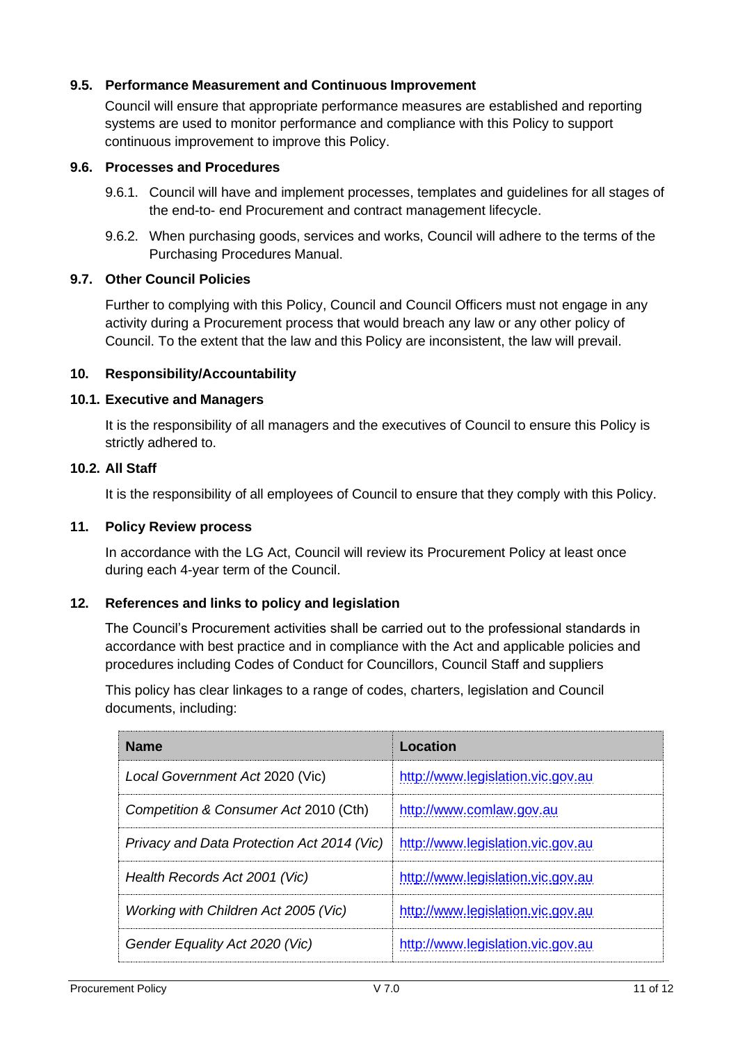### **9.5. Performance Measurement and Continuous Improvement**

Council will ensure that appropriate performance measures are established and reporting systems are used to monitor performance and compliance with this Policy to support continuous improvement to improve this Policy.

#### **9.6. Processes and Procedures**

- 9.6.1. Council will have and implement processes, templates and guidelines for all stages of the end-to- end Procurement and contract management lifecycle.
- 9.6.2. When purchasing goods, services and works, Council will adhere to the terms of the Purchasing Procedures Manual.

### **9.7. Other Council Policies**

Further to complying with this Policy, Council and Council Officers must not engage in any activity during a Procurement process that would breach any law or any other policy of Council. To the extent that the law and this Policy are inconsistent, the law will prevail.

#### **10. Responsibility/Accountability**

#### **10.1. Executive and Managers**

It is the responsibility of all managers and the executives of Council to ensure this Policy is strictly adhered to.

#### **10.2. All Staff**

It is the responsibility of all employees of Council to ensure that they comply with this Policy.

#### **11. Policy Review process**

In accordance with the LG Act, Council will review its Procurement Policy at least once during each 4-year term of the Council.

### **12. References and links to policy and legislation**

The Council's Procurement activities shall be carried out to the professional standards in accordance with best practice and in compliance with the Act and applicable policies and procedures including Codes of Conduct for Councillors, Council Staff and suppliers

This policy has clear linkages to a range of codes, charters, legislation and Council documents, including:

| <b>Name</b>                                | Location                          |
|--------------------------------------------|-----------------------------------|
| Local Government Act 2020 (Vic)            | http://www.legislation.vic.gov.au |
| Competition & Consumer Act 2010 (Cth)      | http://www.comlaw.gov.au          |
| Privacy and Data Protection Act 2014 (Vic) | http://www.legislation.vic.gov.au |
| Health Records Act 2001 (Vic)              | http://www.legislation.vic.gov.au |
| Working with Children Act 2005 (Vic)       | http://www.legislation.vic.gov.au |
| Gender Equality Act 2020 (Vic)             | http://www.legislation.vic.gov.au |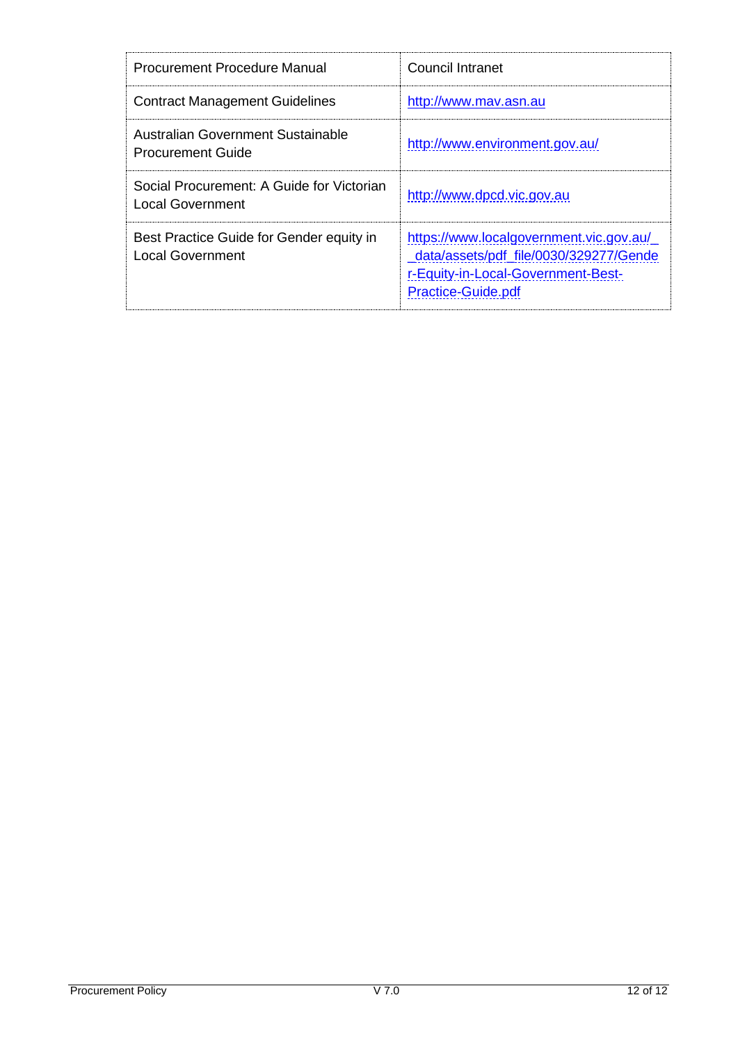| <b>Procurement Procedure Manual</b>                                 | Council Intranet                                                                                                                                     |
|---------------------------------------------------------------------|------------------------------------------------------------------------------------------------------------------------------------------------------|
| <b>Contract Management Guidelines</b>                               | http://www.mav.asn.au                                                                                                                                |
| Australian Government Sustainable<br><b>Procurement Guide</b>       | http://www.environment.gov.au/                                                                                                                       |
| Social Procurement: A Guide for Victorian<br>Local Government       | http://www.dpcd.vic.gov.au                                                                                                                           |
| Best Practice Guide for Gender equity in<br><b>Local Government</b> | https://www.localgovernment.vic.gov.au/<br>data/assets/pdf file/0030/329277/Gende<br>r-Equity-in-Local-Government-Best-<br><b>Practice-Guide.pdf</b> |